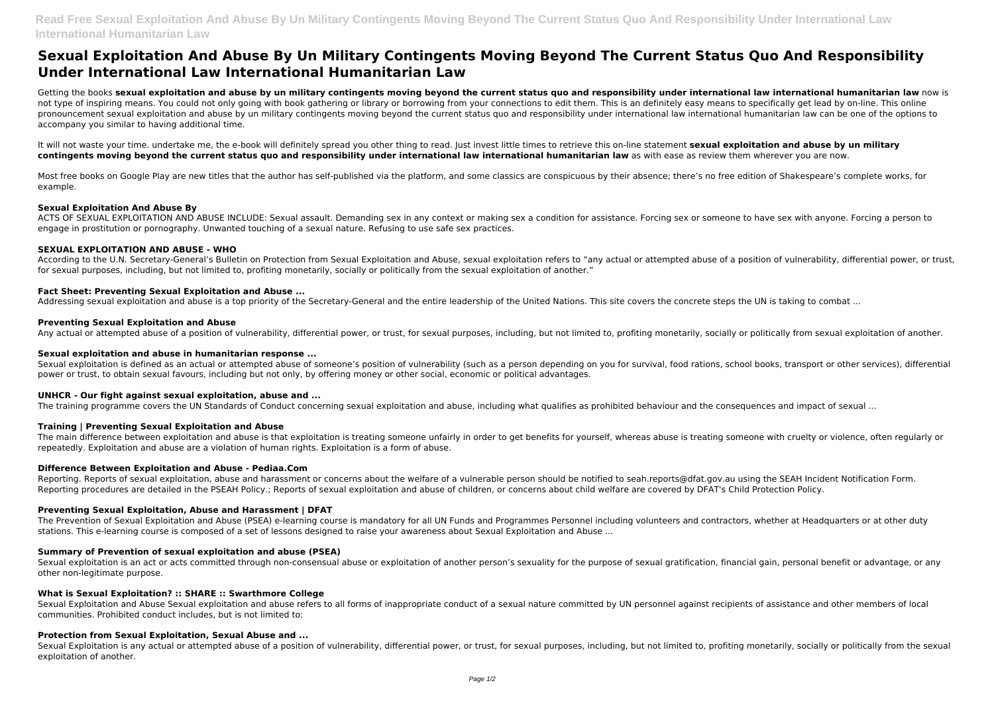# **Sexual Exploitation And Abuse By Un Military Contingents Moving Beyond The Current Status Quo And Responsibility Under International Law International Humanitarian Law**

Getting the books sexual exploitation and abuse by un military contingents moving beyond the current status quo and responsibility under international law international humanitarian law now is not type of inspiring means. You could not only going with book gathering or library or borrowing from your connections to edit them. This is an definitely easy means to specifically get lead by on-line. This online pronouncement sexual exploitation and abuse by un military contingents moving beyond the current status quo and responsibility under international law international humanitarian law can be one of the options to accompany you similar to having additional time.

Most free books on Google Play are new titles that the author has self-published via the platform, and some classics are conspicuous by their absence; there's no free edition of Shakespeare's complete works, for example.

It will not waste your time. undertake me, the e-book will definitely spread you other thing to read. Just invest little times to retrieve this on-line statement **sexual exploitation and abuse by un military contingents moving beyond the current status quo and responsibility under international law international humanitarian law** as with ease as review them wherever you are now.

# **Sexual Exploitation And Abuse By**

Sexual exploitation is defined as an actual or attempted abuse of someone's position of vulnerability (such as a person depending on you for survival, food rations, school books, transport or other services), differential power or trust, to obtain sexual favours, including but not only, by offering money or other social, economic or political advantages.

ACTS OF SEXUAL EXPLOITATION AND ABUSE INCLUDE: Sexual assault. Demanding sex in any context or making sex a condition for assistance. Forcing sex or someone to have sex with anyone. Forcing a person to engage in prostitution or pornography. Unwanted touching of a sexual nature. Refusing to use safe sex practices.

# **SEXUAL EXPLOITATION AND ABUSE - WHO**

According to the U.N. Secretary-General's Bulletin on Protection from Sexual Exploitation and Abuse, sexual exploitation refers to "any actual or attempted abuse of a position of vulnerability, differential power, or trust, for sexual purposes, including, but not limited to, profiting monetarily, socially or politically from the sexual exploitation of another."

Reporting. Reports of sexual exploitation, abuse and harassment or concerns about the welfare of a vulnerable person should be notified to seah.reports@dfat.gov.au using the SEAH Incident Notification Form. Reporting procedures are detailed in the PSEAH Policy.; Reports of sexual exploitation and abuse of children, or concerns about child welfare are covered by DFAT's Child Protection Policy.

# **Fact Sheet: Preventing Sexual Exploitation and Abuse ...**

Addressing sexual exploitation and abuse is a top priority of the Secretary-General and the entire leadership of the United Nations. This site covers the concrete steps the UN is taking to combat ...

Sexual exploitation is an act or acts committed through non-consensual abuse or exploitation of another person's sexuality for the purpose of sexual gratification, financial gain, personal benefit or advantage, or any other non-legitimate purpose.

# **Preventing Sexual Exploitation and Abuse**

Any actual or attempted abuse of a position of vulnerability, differential power, or trust, for sexual purposes, including, but not limited to, profiting monetarily, socially or politically from sexual exploitation of anot

Sexual Exploitation is any actual or attempted abuse of a position of vulnerability, differential power, or trust, for sexual purposes, including, but not limited to, profiting monetarily, socially or politically from the exploitation of another.

# **Sexual exploitation and abuse in humanitarian response ...**

# **UNHCR - Our fight against sexual exploitation, abuse and ...**

The training programme covers the UN Standards of Conduct concerning sexual exploitation and abuse, including what qualifies as prohibited behaviour and the consequences and impact of sexual ...

# **Training | Preventing Sexual Exploitation and Abuse**

The main difference between exploitation and abuse is that exploitation is treating someone unfairly in order to get benefits for yourself, whereas abuse is treating someone with cruelty or violence, often regularly or repeatedly. Exploitation and abuse are a violation of human rights. Exploitation is a form of abuse.

# **Difference Between Exploitation and Abuse - Pediaa.Com**

# **Preventing Sexual Exploitation, Abuse and Harassment | DFAT**

The Prevention of Sexual Exploitation and Abuse (PSEA) e-learning course is mandatory for all UN Funds and Programmes Personnel including volunteers and contractors, whether at Headquarters or at other duty stations. This e-learning course is composed of a set of lessons designed to raise your awareness about Sexual Exploitation and Abuse ...

# **Summary of Prevention of sexual exploitation and abuse (PSEA)**

# **What is Sexual Exploitation? :: SHARE :: Swarthmore College**

Sexual Exploitation and Abuse Sexual exploitation and abuse refers to all forms of inappropriate conduct of a sexual nature committed by UN personnel against recipients of assistance and other members of local communities. Prohibited conduct includes, but is not limited to:

# **Protection from Sexual Exploitation, Sexual Abuse and ...**